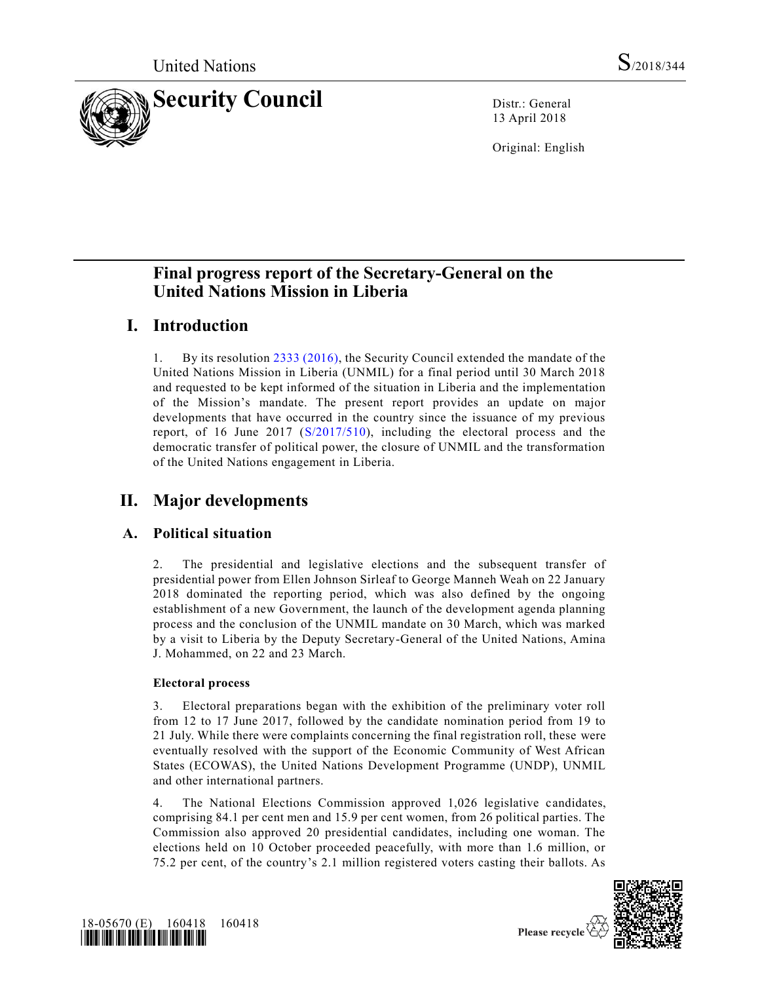

13 April 2018

Original: English

# **Final progress report of the Secretary-General on the United Nations Mission in Liberia**

# **I. Introduction**

1. By its resolution [2333 \(2016\),](https://undocs.org/S/RES/2333(2016)) the Security Council extended the mandate of the United Nations Mission in Liberia (UNMIL) for a final period until 30 March 2018 and requested to be kept informed of the situation in Liberia and the implementation of the Mission's mandate. The present report provides an update on major developments that have occurred in the country since the issuance of my previous report, of 16 June 2017 [\(S/2017/510\)](https://undocs.org/S/2017/510), including the electoral process and the democratic transfer of political power, the closure of UNMIL and the transformation of the United Nations engagement in Liberia.

# **II. Major developments**

## **A. Political situation**

2. The presidential and legislative elections and the subsequent transfer of presidential power from Ellen Johnson Sirleaf to George Manneh Weah on 22 January 2018 dominated the reporting period, which was also defined by the ongoing establishment of a new Government, the launch of the development agenda planning process and the conclusion of the UNMIL mandate on 30 March, which was marked by a visit to Liberia by the Deputy Secretary-General of the United Nations, Amina J. Mohammed, on 22 and 23 March.

## **Electoral process**

3. Electoral preparations began with the exhibition of the preliminary voter roll from 12 to 17 June 2017, followed by the candidate nomination period from 19 to 21 July. While there were complaints concerning the final registration roll, these were eventually resolved with the support of the Economic Community of West African States (ECOWAS), the United Nations Development Programme (UNDP), UNMIL and other international partners.

4. The National Elections Commission approved 1,026 legislative candidates, comprising 84.1 per cent men and 15.9 per cent women, from 26 political parties. The Commission also approved 20 presidential candidates, including one woman. The elections held on 10 October proceeded peacefully, with more than 1.6 million, or 75.2 per cent, of the country's 2.1 million registered voters casting their ballots. As



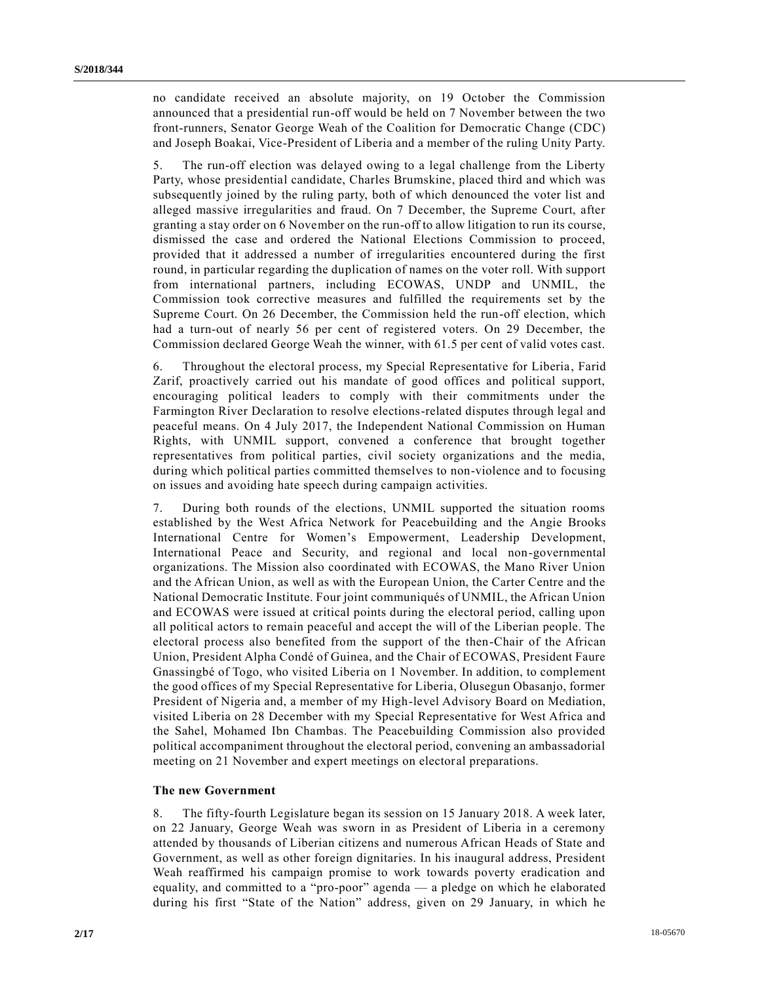no candidate received an absolute majority, on 19 October the Commission announced that a presidential run-off would be held on 7 November between the two front-runners, Senator George Weah of the Coalition for Democratic Change (CDC) and Joseph Boakai, Vice-President of Liberia and a member of the ruling Unity Party.

5. The run-off election was delayed owing to a legal challenge from the Liberty Party, whose presidential candidate, Charles Brumskine, placed third and which was subsequently joined by the ruling party, both of which denounced the voter list and alleged massive irregularities and fraud. On 7 December, the Supreme Court, after granting a stay order on 6 November on the run-off to allow litigation to run its course, dismissed the case and ordered the National Elections Commission to proceed, provided that it addressed a number of irregularities encountered during the first round, in particular regarding the duplication of names on the voter roll. With support from international partners, including ECOWAS, UNDP and UNMIL, the Commission took corrective measures and fulfilled the requirements set by the Supreme Court. On 26 December, the Commission held the run-off election, which had a turn-out of nearly 56 per cent of registered voters. On 29 December, the Commission declared George Weah the winner, with 61.5 per cent of valid votes cast.

6. Throughout the electoral process, my Special Representative for Liberia, Farid Zarif, proactively carried out his mandate of good offices and political support, encouraging political leaders to comply with their commitments under the Farmington River Declaration to resolve elections-related disputes through legal and peaceful means. On 4 July 2017, the Independent National Commission on Human Rights, with UNMIL support, convened a conference that brought together representatives from political parties, civil society organizations and the media, during which political parties committed themselves to non-violence and to focusing on issues and avoiding hate speech during campaign activities.

7. During both rounds of the elections, UNMIL supported the situation rooms established by the West Africa Network for Peacebuilding and the Angie Brooks International Centre for Women's Empowerment, Leadership Development, International Peace and Security, and regional and local non-governmental organizations. The Mission also coordinated with ECOWAS, the Mano River Union and the African Union, as well as with the European Union, the Carter Centre and the National Democratic Institute. Four joint communiqués of UNMIL, the African Union and ECOWAS were issued at critical points during the electoral period, calling upon all political actors to remain peaceful and accept the will of the Liberian people. The electoral process also benefited from the support of the then-Chair of the African Union, President Alpha Condé of Guinea, and the Chair of ECOWAS, President Faure Gnassingbé of Togo, who visited Liberia on 1 November. In addition, to complement the good offices of my Special Representative for Liberia, Olusegun Obasanjo, former President of Nigeria and, a member of my High-level Advisory Board on Mediation, visited Liberia on 28 December with my Special Representative for West Africa and the Sahel, Mohamed Ibn Chambas. The Peacebuilding Commission also provided political accompaniment throughout the electoral period, convening an ambassadorial meeting on 21 November and expert meetings on electoral preparations.

#### **The new Government**

8. The fifty-fourth Legislature began its session on 15 January 2018. A week later, on 22 January, George Weah was sworn in as President of Liberia in a ceremony attended by thousands of Liberian citizens and numerous African Heads of State and Government, as well as other foreign dignitaries. In his inaugural address, President Weah reaffirmed his campaign promise to work towards poverty eradication and equality, and committed to a "pro-poor" agenda — a pledge on which he elaborated during his first "State of the Nation" address, given on 29 January, in which he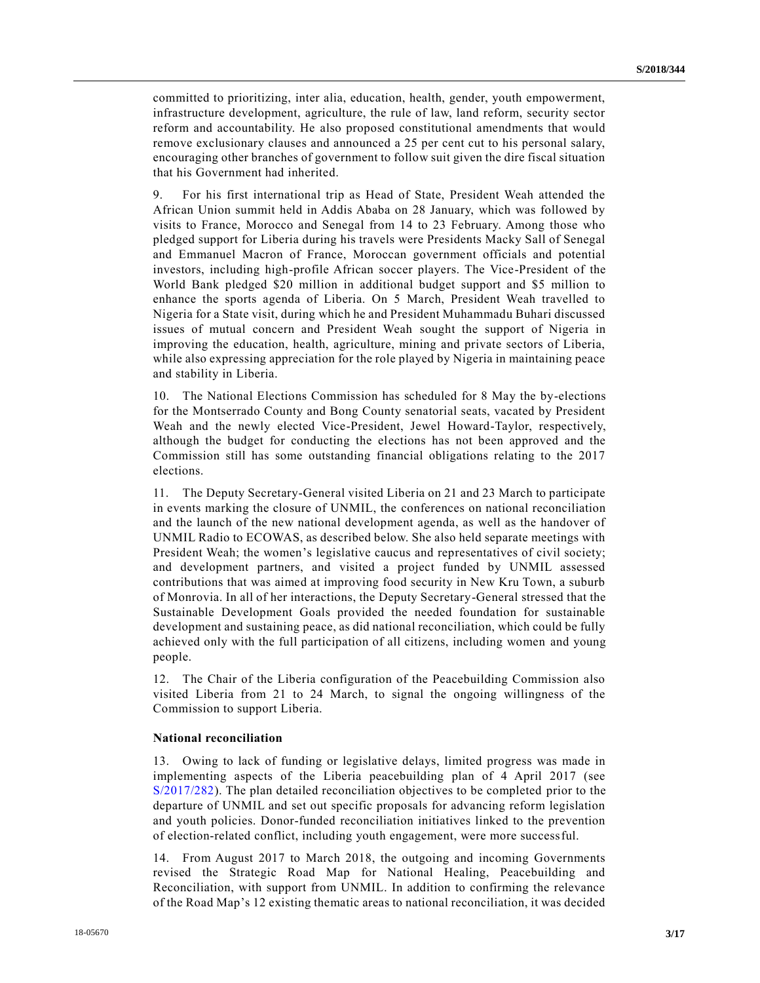committed to prioritizing, inter alia, education, health, gender, youth empowerment, infrastructure development, agriculture, the rule of law, land reform, security sector reform and accountability. He also proposed constitutional amendments that would remove exclusionary clauses and announced a 25 per cent cut to his personal salary, encouraging other branches of government to follow suit given the dire fiscal situation that his Government had inherited.

9. For his first international trip as Head of State, President Weah attended the African Union summit held in Addis Ababa on 28 January, which was followed by visits to France, Morocco and Senegal from 14 to 23 February. Among those who pledged support for Liberia during his travels were Presidents Macky Sall of Senegal and Emmanuel Macron of France, Moroccan government officials and potential investors, including high-profile African soccer players. The Vice-President of the World Bank pledged \$20 million in additional budget support and \$5 million to enhance the sports agenda of Liberia. On 5 March, President Weah travelled to Nigeria for a State visit, during which he and President Muhammadu Buhari discussed issues of mutual concern and President Weah sought the support of Nigeria in improving the education, health, agriculture, mining and private sectors of Liberia, while also expressing appreciation for the role played by Nigeria in maintaining peace and stability in Liberia.

10. The National Elections Commission has scheduled for 8 May the by-elections for the Montserrado County and Bong County senatorial seats, vacated by President Weah and the newly elected Vice-President, Jewel Howard-Taylor, respectively, although the budget for conducting the elections has not been approved and the Commission still has some outstanding financial obligations relating to the 2017 elections.

11. The Deputy Secretary-General visited Liberia on 21 and 23 March to participate in events marking the closure of UNMIL, the conferences on national reconciliation and the launch of the new national development agenda, as well as the handover of UNMIL Radio to ECOWAS, as described below. She also held separate meetings with President Weah; the women's legislative caucus and representatives of civil society; and development partners, and visited a project funded by UNMIL assessed contributions that was aimed at improving food security in New Kru Town, a suburb of Monrovia. In all of her interactions, the Deputy Secretary-General stressed that the Sustainable Development Goals provided the needed foundation for sustainable development and sustaining peace, as did national reconciliation, which could be fully achieved only with the full participation of all citizens, including women and young people.

12. The Chair of the Liberia configuration of the Peacebuilding Commission also visited Liberia from 21 to 24 March, to signal the ongoing willingness of the Commission to support Liberia.

#### **National reconciliation**

13. Owing to lack of funding or legislative delays, limited progress was made in implementing aspects of the Liberia peacebuilding plan of 4 April 2017 (see [S/2017/282\)](https://undocs.org/S/2017/282). The plan detailed reconciliation objectives to be completed prior to the departure of UNMIL and set out specific proposals for advancing reform legislation and youth policies. Donor-funded reconciliation initiatives linked to the prevention of election-related conflict, including youth engagement, were more successful.

14. From August 2017 to March 2018, the outgoing and incoming Governments revised the Strategic Road Map for National Healing, Peacebuilding and Reconciliation, with support from UNMIL. In addition to confirming the relevance of the Road Map's 12 existing thematic areas to national reconciliation, it was decided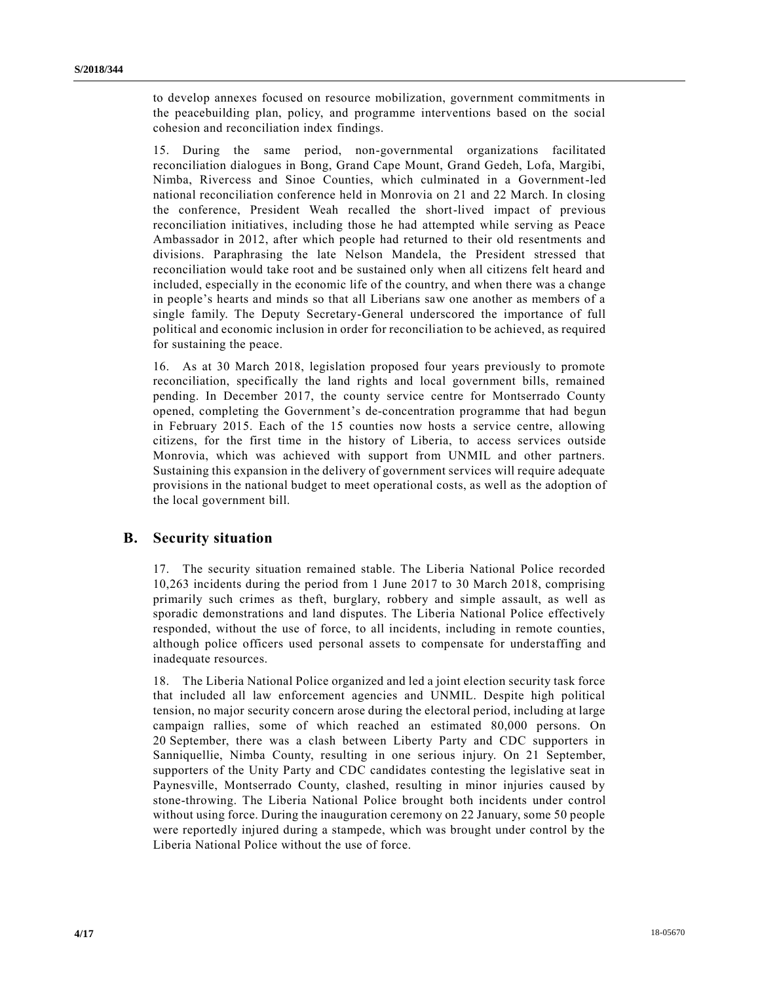to develop annexes focused on resource mobilization, government commitments in the peacebuilding plan, policy, and programme interventions based on the social cohesion and reconciliation index findings.

15. During the same period, non-governmental organizations facilitated reconciliation dialogues in Bong, Grand Cape Mount, Grand Gedeh, Lofa, Margibi, Nimba, Rivercess and Sinoe Counties, which culminated in a Government-led national reconciliation conference held in Monrovia on 21 and 22 March. In closing the conference, President Weah recalled the short-lived impact of previous reconciliation initiatives, including those he had attempted while serving as Peace Ambassador in 2012, after which people had returned to their old resentments and divisions. Paraphrasing the late Nelson Mandela, the President stressed that reconciliation would take root and be sustained only when all citizens felt heard and included, especially in the economic life of the country, and when there was a change in people's hearts and minds so that all Liberians saw one another as members of a single family. The Deputy Secretary-General underscored the importance of full political and economic inclusion in order for reconciliation to be achieved, as required for sustaining the peace.

16. As at 30 March 2018, legislation proposed four years previously to promote reconciliation, specifically the land rights and local government bills, remained pending. In December 2017, the county service centre for Montserrado County opened, completing the Government's de-concentration programme that had begun in February 2015. Each of the 15 counties now hosts a service centre, allowing citizens, for the first time in the history of Liberia, to access services outside Monrovia, which was achieved with support from UNMIL and other partners. Sustaining this expansion in the delivery of government services will require adequate provisions in the national budget to meet operational costs, as well as the adoption of the local government bill.

## **B. Security situation**

17. The security situation remained stable. The Liberia National Police recorded 10,263 incidents during the period from 1 June 2017 to 30 March 2018, comprising primarily such crimes as theft, burglary, robbery and simple assault, as well as sporadic demonstrations and land disputes. The Liberia National Police effectively responded, without the use of force, to all incidents, including in remote counties, although police officers used personal assets to compensate for understaffing and inadequate resources.

18. The Liberia National Police organized and led a joint election security task force that included all law enforcement agencies and UNMIL. Despite high political tension, no major security concern arose during the electoral period, including at large campaign rallies, some of which reached an estimated 80,000 persons. On 20 September, there was a clash between Liberty Party and CDC supporters in Sanniquellie, Nimba County, resulting in one serious injury. On 21 September, supporters of the Unity Party and CDC candidates contesting the legislative seat in Paynesville, Montserrado County, clashed, resulting in minor injuries caused by stone-throwing. The Liberia National Police brought both incidents under control without using force. During the inauguration ceremony on 22 January, some 50 people were reportedly injured during a stampede, which was brought under control by the Liberia National Police without the use of force.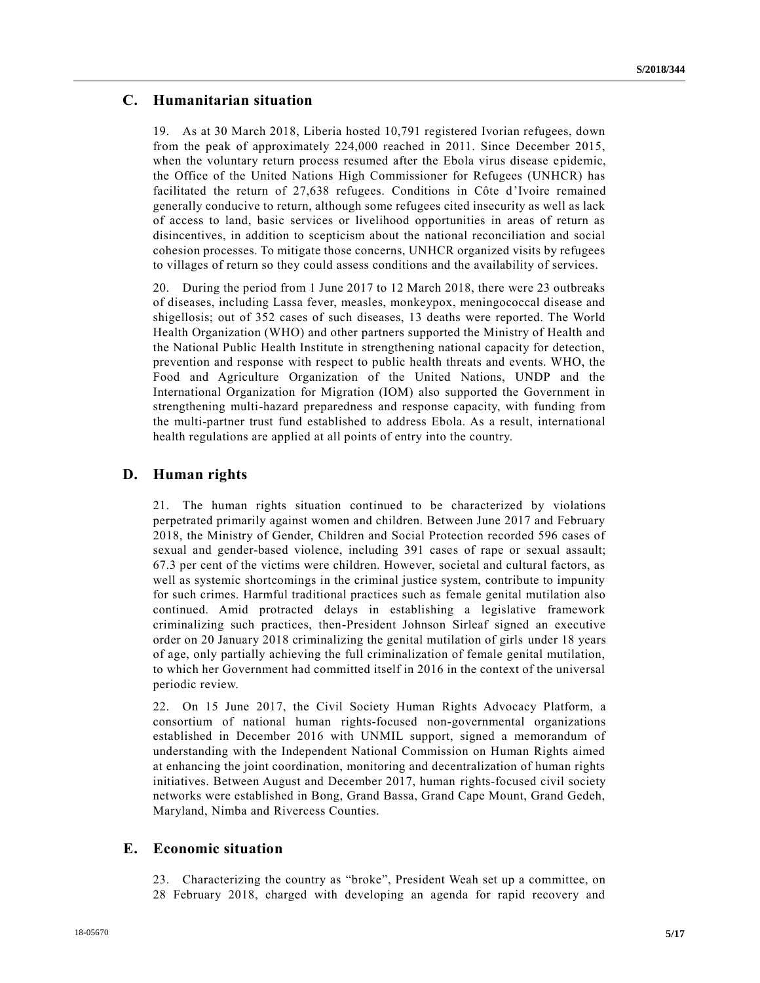## **C. Humanitarian situation**

19. As at 30 March 2018, Liberia hosted 10,791 registered Ivorian refugees, down from the peak of approximately 224,000 reached in 2011. Since December 2015, when the voluntary return process resumed after the Ebola virus disease epidemic, the Office of the United Nations High Commissioner for Refugees (UNHCR) has facilitated the return of 27,638 refugees. Conditions in Côte d'Ivoire remained generally conducive to return, although some refugees cited insecurity as well as lack of access to land, basic services or livelihood opportunities in areas of return as disincentives, in addition to scepticism about the national reconciliation and social cohesion processes. To mitigate those concerns, UNHCR organized visits by refugees to villages of return so they could assess conditions and the availability of services.

20. During the period from 1 June 2017 to 12 March 2018, there were 23 outbreaks of diseases, including Lassa fever, measles, monkeypox, meningococcal disease and shigellosis; out of 352 cases of such diseases, 13 deaths were reported. The World Health Organization (WHO) and other partners supported the Ministry of Health and the National Public Health Institute in strengthening national capacity for detection, prevention and response with respect to public health threats and events. WHO, the Food and Agriculture Organization of the United Nations, UNDP and the International Organization for Migration (IOM) also supported the Government in strengthening multi-hazard preparedness and response capacity, with funding from the multi-partner trust fund established to address Ebola. As a result, international health regulations are applied at all points of entry into the country.

## **D. Human rights**

21. The human rights situation continued to be characterized by violations perpetrated primarily against women and children. Between June 2017 and February 2018, the Ministry of Gender, Children and Social Protection recorded 596 cases of sexual and gender-based violence, including 391 cases of rape or sexual assault; 67.3 per cent of the victims were children. However, societal and cultural factors, as well as systemic shortcomings in the criminal justice system, contribute to impunity for such crimes. Harmful traditional practices such as female genital mutilation also continued. Amid protracted delays in establishing a legislative framework criminalizing such practices, then-President Johnson Sirleaf signed an executive order on 20 January 2018 criminalizing the genital mutilation of girls under 18 years of age, only partially achieving the full criminalization of female genital mutilation, to which her Government had committed itself in 2016 in the context of the universal periodic review.

22. On 15 June 2017, the Civil Society Human Rights Advocacy Platform, a consortium of national human rights-focused non-governmental organizations established in December 2016 with UNMIL support, signed a memorandum of understanding with the Independent National Commission on Human Rights aimed at enhancing the joint coordination, monitoring and decentralization of human rights initiatives. Between August and December 2017, human rights-focused civil society networks were established in Bong, Grand Bassa, Grand Cape Mount, Grand Gedeh, Maryland, Nimba and Rivercess Counties.

## **E. Economic situation**

23. Characterizing the country as "broke", President Weah set up a committee, on 28 February 2018, charged with developing an agenda for rapid recovery and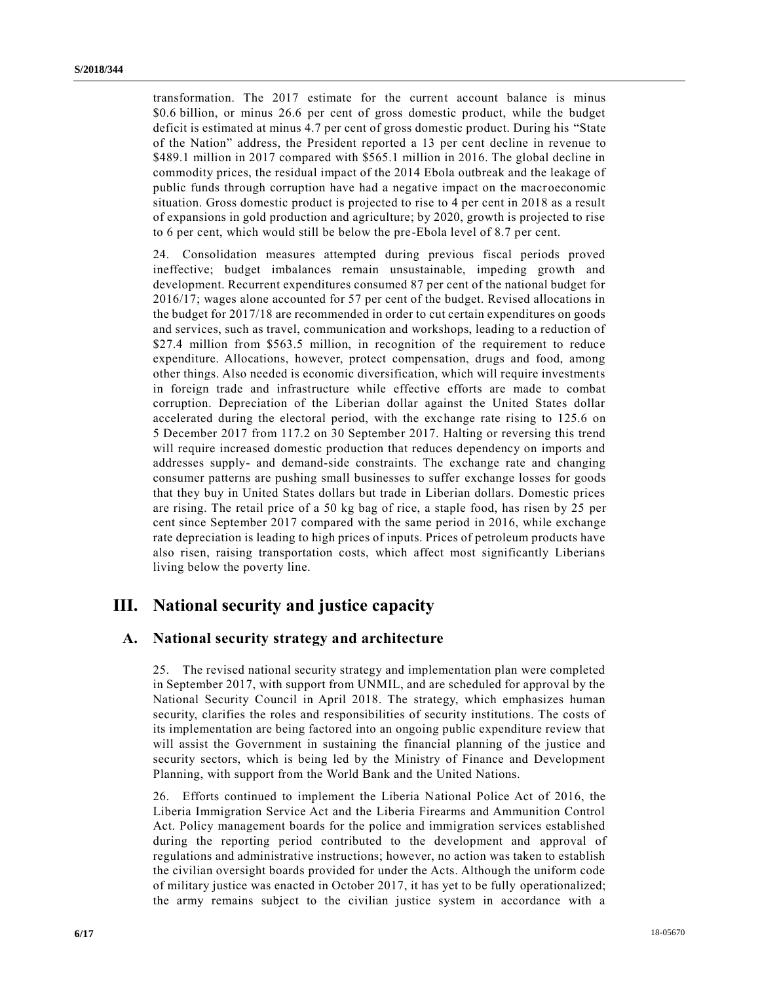transformation. The 2017 estimate for the current account balance is minus \$0.6 billion, or minus 26.6 per cent of gross domestic product, while the budget deficit is estimated at minus 4.7 per cent of gross domestic product. During his "State of the Nation" address, the President reported a 13 per cent decline in revenue to \$489.1 million in 2017 compared with \$565.1 million in 2016. The global decline in commodity prices, the residual impact of the 2014 Ebola outbreak and the leakage of public funds through corruption have had a negative impact on the macroeconomic situation. Gross domestic product is projected to rise to 4 per cent in 2018 as a result of expansions in gold production and agriculture; by 2020, growth is projected to rise to 6 per cent, which would still be below the pre-Ebola level of 8.7 per cent.

24. Consolidation measures attempted during previous fiscal periods proved ineffective; budget imbalances remain unsustainable, impeding growth and development. Recurrent expenditures consumed 87 per cent of the national budget for 2016/17; wages alone accounted for 57 per cent of the budget. Revised allocations in the budget for 2017/18 are recommended in order to cut certain expenditures on goods and services, such as travel, communication and workshops, leading to a reduction of \$27.4 million from \$563.5 million, in recognition of the requirement to reduce expenditure. Allocations, however, protect compensation, drugs and food, among other things. Also needed is economic diversification, which will require investments in foreign trade and infrastructure while effective efforts are made to combat corruption. Depreciation of the Liberian dollar against the United States dollar accelerated during the electoral period, with the exchange rate rising to 125.6 on 5 December 2017 from 117.2 on 30 September 2017. Halting or reversing this trend will require increased domestic production that reduces dependency on imports and addresses supply- and demand-side constraints. The exchange rate and changing consumer patterns are pushing small businesses to suffer exchange losses for goods that they buy in United States dollars but trade in Liberian dollars. Domestic prices are rising. The retail price of a 50 kg bag of rice, a staple food, has risen by 25 per cent since September 2017 compared with the same period in 2016, while exchange rate depreciation is leading to high prices of inputs. Prices of petroleum products have also risen, raising transportation costs, which affect most significantly Liberians living below the poverty line.

## **III. National security and justice capacity**

#### **A. National security strategy and architecture**

25. The revised national security strategy and implementation plan were completed in September 2017, with support from UNMIL, and are scheduled for approval by the National Security Council in April 2018. The strategy, which emphasizes human security, clarifies the roles and responsibilities of security institutions. The costs of its implementation are being factored into an ongoing public expenditure review that will assist the Government in sustaining the financial planning of the justice and security sectors, which is being led by the Ministry of Finance and Development Planning, with support from the World Bank and the United Nations.

26. Efforts continued to implement the Liberia National Police Act of 2016, the Liberia Immigration Service Act and the Liberia Firearms and Ammunition Control Act. Policy management boards for the police and immigration services established during the reporting period contributed to the development and approval of regulations and administrative instructions; however, no action was taken to establish the civilian oversight boards provided for under the Acts. Although the uniform code of military justice was enacted in October 2017, it has yet to be fully operationalized; the army remains subject to the civilian justice system in accordance with a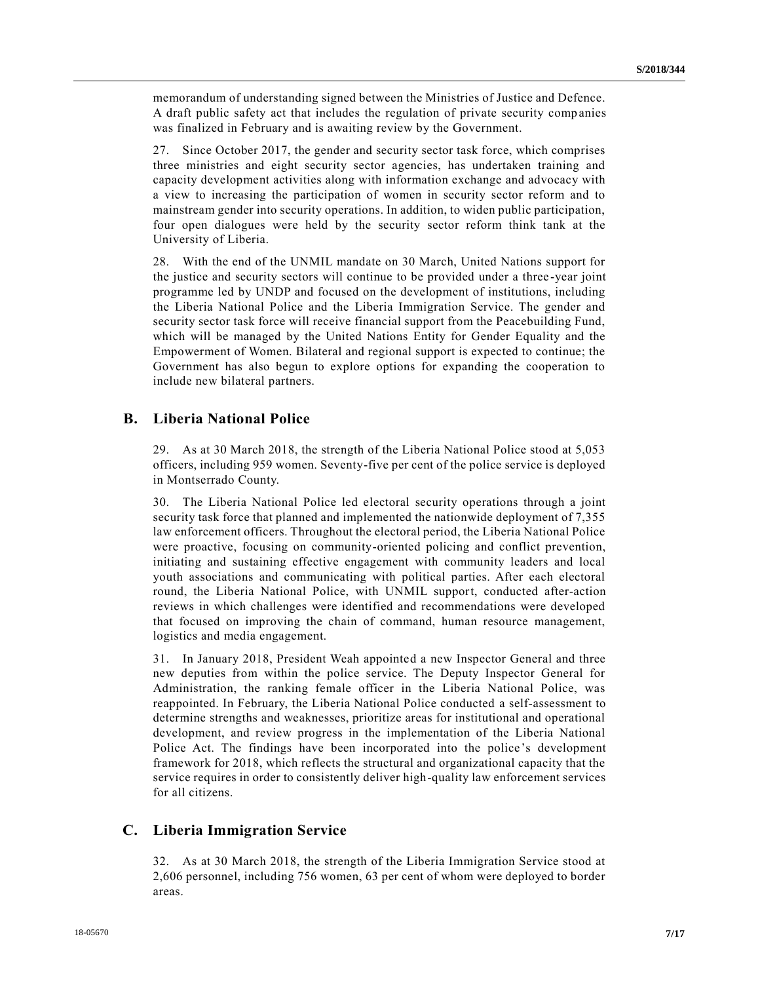memorandum of understanding signed between the Ministries of Justice and Defence. A draft public safety act that includes the regulation of private security comp anies was finalized in February and is awaiting review by the Government.

27. Since October 2017, the gender and security sector task force, which comprises three ministries and eight security sector agencies, has undertaken training and capacity development activities along with information exchange and advocacy with a view to increasing the participation of women in security sector reform and to mainstream gender into security operations. In addition, to widen public participation, four open dialogues were held by the security sector reform think tank at the University of Liberia.

28. With the end of the UNMIL mandate on 30 March, United Nations support for the justice and security sectors will continue to be provided under a three -year joint programme led by UNDP and focused on the development of institutions, including the Liberia National Police and the Liberia Immigration Service. The gender and security sector task force will receive financial support from the Peacebuilding Fund, which will be managed by the United Nations Entity for Gender Equality and the Empowerment of Women. Bilateral and regional support is expected to continue; the Government has also begun to explore options for expanding the cooperation to include new bilateral partners.

## **B. Liberia National Police**

29. As at 30 March 2018, the strength of the Liberia National Police stood at 5,053 officers, including 959 women. Seventy-five per cent of the police service is deployed in Montserrado County.

30. The Liberia National Police led electoral security operations through a joint security task force that planned and implemented the nationwide deployment of 7,355 law enforcement officers. Throughout the electoral period, the Liberia National Police were proactive, focusing on community-oriented policing and conflict prevention, initiating and sustaining effective engagement with community leaders and local youth associations and communicating with political parties. After each electoral round, the Liberia National Police, with UNMIL support, conducted after-action reviews in which challenges were identified and recommendations were developed that focused on improving the chain of command, human resource management, logistics and media engagement.

31. In January 2018, President Weah appointed a new Inspector General and three new deputies from within the police service. The Deputy Inspector General for Administration, the ranking female officer in the Liberia National Police, was reappointed. In February, the Liberia National Police conducted a self-assessment to determine strengths and weaknesses, prioritize areas for institutional and operational development, and review progress in the implementation of the Liberia National Police Act. The findings have been incorporated into the police 's development framework for 2018, which reflects the structural and organizational capacity that the service requires in order to consistently deliver high-quality law enforcement services for all citizens.

#### **C. Liberia Immigration Service**

32. As at 30 March 2018, the strength of the Liberia Immigration Service stood at 2,606 personnel, including 756 women, 63 per cent of whom were deployed to border areas.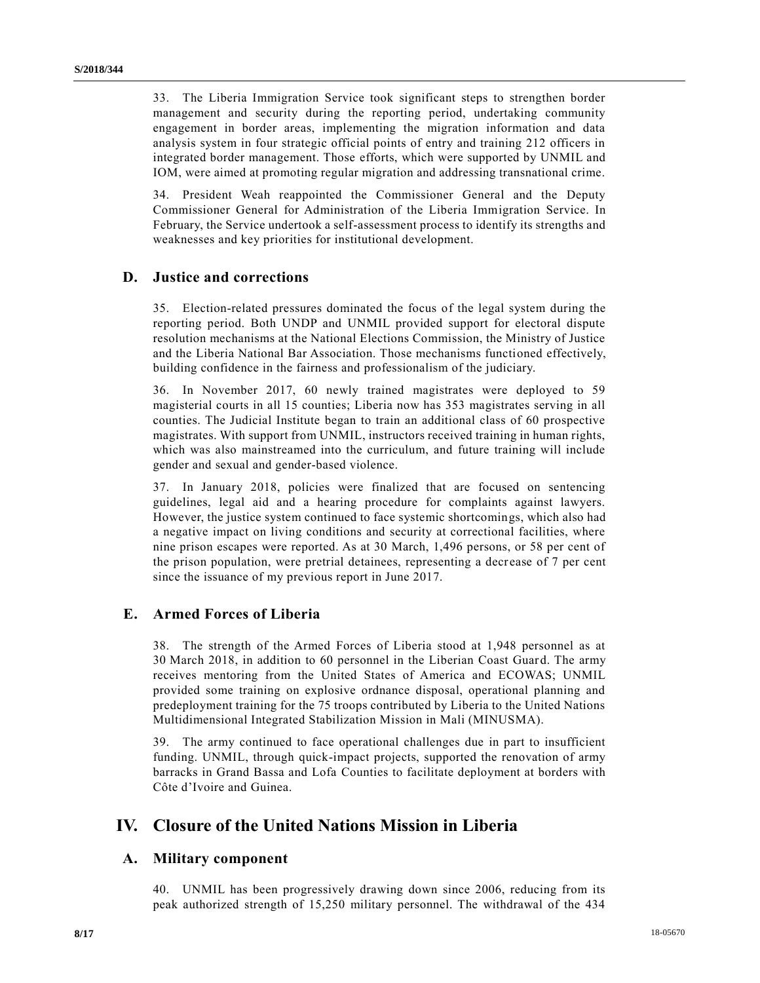33. The Liberia Immigration Service took significant steps to strengthen border management and security during the reporting period, undertaking community engagement in border areas, implementing the migration information and data analysis system in four strategic official points of entry and training 212 officers in integrated border management. Those efforts, which were supported by UNMIL and IOM, were aimed at promoting regular migration and addressing transnational crime.

34. President Weah reappointed the Commissioner General and the Deputy Commissioner General for Administration of the Liberia Immigration Service. In February, the Service undertook a self-assessment process to identify its strengths and weaknesses and key priorities for institutional development.

#### **D. Justice and corrections**

35. Election-related pressures dominated the focus of the legal system during the reporting period. Both UNDP and UNMIL provided support for electoral dispute resolution mechanisms at the National Elections Commission, the Ministry of Justice and the Liberia National Bar Association. Those mechanisms functioned effectively, building confidence in the fairness and professionalism of the judiciary.

36. In November 2017, 60 newly trained magistrates were deployed to 59 magisterial courts in all 15 counties; Liberia now has 353 magistrates serving in all counties. The Judicial Institute began to train an additional class of 60 prospective magistrates. With support from UNMIL, instructors received training in human rights, which was also mainstreamed into the curriculum, and future training will include gender and sexual and gender-based violence.

37. In January 2018, policies were finalized that are focused on sentencing guidelines, legal aid and a hearing procedure for complaints against lawyers. However, the justice system continued to face systemic shortcomings, which also had a negative impact on living conditions and security at correctional facilities, where nine prison escapes were reported. As at 30 March, 1,496 persons, or 58 per cent of the prison population, were pretrial detainees, representing a decr ease of 7 per cent since the issuance of my previous report in June 2017.

### **E. Armed Forces of Liberia**

38. The strength of the Armed Forces of Liberia stood at 1,948 personnel as at 30 March 2018, in addition to 60 personnel in the Liberian Coast Guard. The army receives mentoring from the United States of America and ECOWAS; UNMIL provided some training on explosive ordnance disposal, operational planning and predeployment training for the 75 troops contributed by Liberia to the United Nations Multidimensional Integrated Stabilization Mission in Mali (MINUSMA).

39. The army continued to face operational challenges due in part to insufficient funding. UNMIL, through quick-impact projects, supported the renovation of army barracks in Grand Bassa and Lofa Counties to facilitate deployment at borders with Côte d'Ivoire and Guinea.

## **IV. Closure of the United Nations Mission in Liberia**

#### **A. Military component**

40. UNMIL has been progressively drawing down since 2006, reducing from its peak authorized strength of 15,250 military personnel. The withdrawal of the 434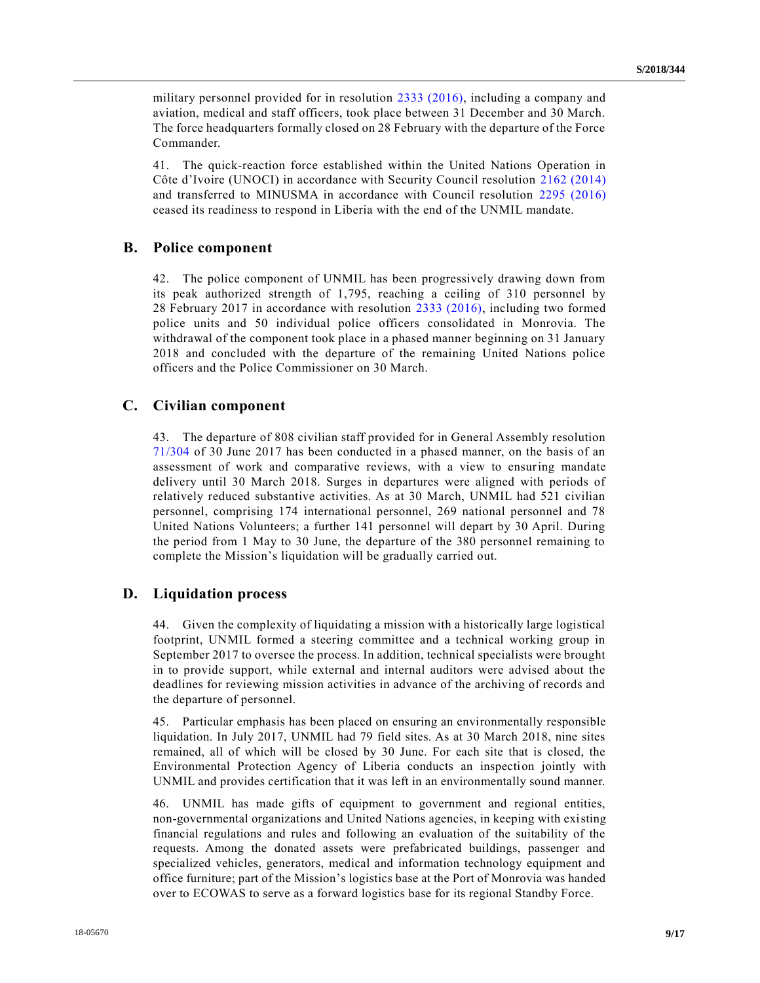military personnel provided for in resolution [2333 \(2016\),](https://undocs.org/S/RES/2333(2016)) including a company and aviation, medical and staff officers, took place between 31 December and 30 March. The force headquarters formally closed on 28 February with the departure of the Force Commander.

41. The quick-reaction force established within the United Nations Operation in Côte d'Ivoire (UNOCI) in accordance with Security Council resolution [2162 \(2014\)](https://undocs.org/S/RES/2162(2014)) and transferred to MINUSMA in accordance with Council resolution [2295 \(2016\)](https://undocs.org/S/RES/2295(2016)) ceased its readiness to respond in Liberia with the end of the UNMIL mandate.

#### **B. Police component**

42. The police component of UNMIL has been progressively drawing down from its peak authorized strength of 1,795, reaching a ceiling of 310 personnel by 28 February 2017 in accordance with resolution [2333 \(2016\),](https://undocs.org/S/RES/2333(2016)) including two formed police units and 50 individual police officers consolidated in Monrovia. The withdrawal of the component took place in a phased manner beginning on 31 January 2018 and concluded with the departure of the remaining United Nations police officers and the Police Commissioner on 30 March.

#### **C. Civilian component**

43. The departure of 808 civilian staff provided for in General Assembly resolution [71/304](https://undocs.org/A/RES/71/304) of 30 June 2017 has been conducted in a phased manner, on the basis of an assessment of work and comparative reviews, with a view to ensuring mandate delivery until 30 March 2018. Surges in departures were aligned with periods of relatively reduced substantive activities. As at 30 March, UNMIL had 521 civilian personnel, comprising 174 international personnel, 269 national personnel and 78 United Nations Volunteers; a further 141 personnel will depart by 30 April. During the period from 1 May to 30 June, the departure of the 380 personnel remaining to complete the Mission's liquidation will be gradually carried out.

#### **D. Liquidation process**

44. Given the complexity of liquidating a mission with a historically large logistical footprint, UNMIL formed a steering committee and a technical working group in September 2017 to oversee the process. In addition, technical specialists were brought in to provide support, while external and internal auditors were advised about the deadlines for reviewing mission activities in advance of the archiving of records and the departure of personnel.

45. Particular emphasis has been placed on ensuring an environmentally responsible liquidation. In July 2017, UNMIL had 79 field sites. As at 30 March 2018, nine sites remained, all of which will be closed by 30 June. For each site that is closed, the Environmental Protection Agency of Liberia conducts an inspection jointly with UNMIL and provides certification that it was left in an environmentally sound manner.

46. UNMIL has made gifts of equipment to government and regional entities, non-governmental organizations and United Nations agencies, in keeping with existing financial regulations and rules and following an evaluation of the suitability of the requests. Among the donated assets were prefabricated buildings, passenger and specialized vehicles, generators, medical and information technology equipment and office furniture; part of the Mission's logistics base at the Port of Monrovia was handed over to ECOWAS to serve as a forward logistics base for its regional Standby Force.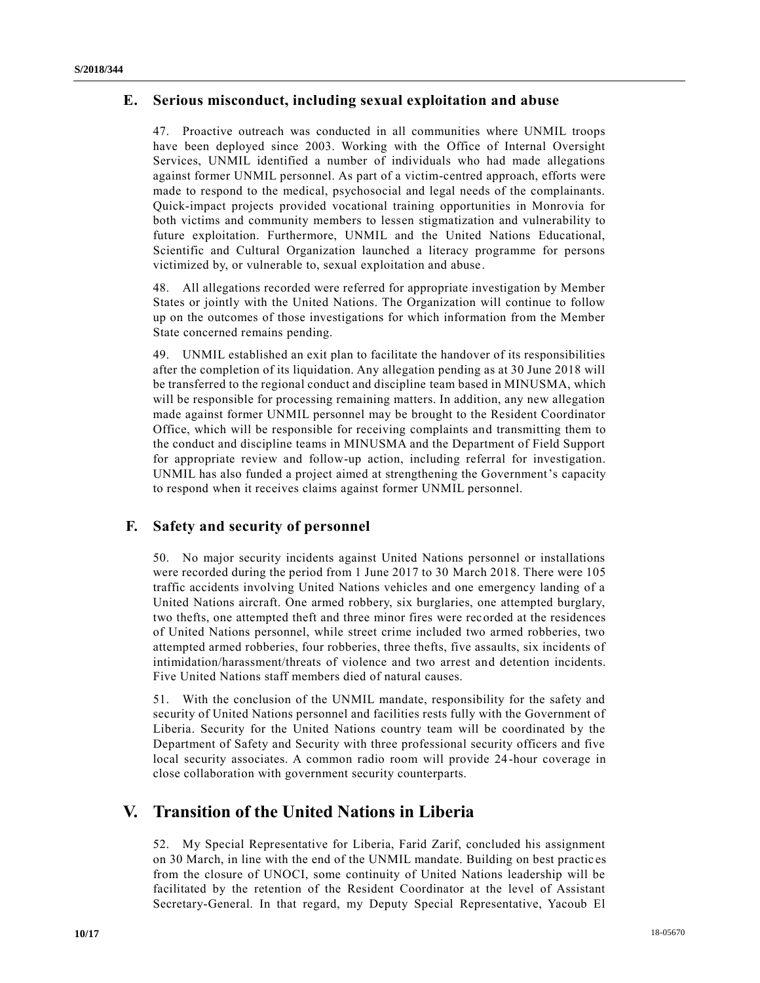## **E. Serious misconduct, including sexual exploitation and abuse**

47. Proactive outreach was conducted in all communities where UNMIL troops have been deployed since 2003. Working with the Office of Internal Oversight Services, UNMIL identified a number of individuals who had made allegations against former UNMIL personnel. As part of a victim-centred approach, efforts were made to respond to the medical, psychosocial and legal needs of the complainants. Quick-impact projects provided vocational training opportunities in Monrovia for both victims and community members to lessen stigmatization and vulnerability to future exploitation. Furthermore, UNMIL and the United Nations Educational, Scientific and Cultural Organization launched a literacy programme for persons victimized by, or vulnerable to, sexual exploitation and abuse.

48. All allegations recorded were referred for appropriate investigation by Member States or jointly with the United Nations. The Organization will continue to follow up on the outcomes of those investigations for which information from the Member State concerned remains pending.

49. UNMIL established an exit plan to facilitate the handover of its responsibilities after the completion of its liquidation. Any allegation pending as at 30 June 2018 will be transferred to the regional conduct and discipline team based in MINUSMA, which will be responsible for processing remaining matters. In addition, any new allegation made against former UNMIL personnel may be brought to the Resident Coordinator Office, which will be responsible for receiving complaints and transmitting them to the conduct and discipline teams in MINUSMA and the Department of Field Support for appropriate review and follow-up action, including referral for investigation. UNMIL has also funded a project aimed at strengthening the Government's capacity to respond when it receives claims against former UNMIL personnel.

## **F. Safety and security of personnel**

50. No major security incidents against United Nations personnel or installations were recorded during the period from 1 June 2017 to 30 March 2018. There were 105 traffic accidents involving United Nations vehicles and one emergency landing of a United Nations aircraft. One armed robbery, six burglaries, one attempted burglary, two thefts, one attempted theft and three minor fires were recorded at the residences of United Nations personnel, while street crime included two armed robberies, two attempted armed robberies, four robberies, three thefts, five assaults, six incidents of intimidation/harassment/threats of violence and two arrest and detention incidents. Five United Nations staff members died of natural causes.

51. With the conclusion of the UNMIL mandate, responsibility for the safety and security of United Nations personnel and facilities rests fully with the Government of Liberia. Security for the United Nations country team will be coordinated by the Department of Safety and Security with three professional security officers and five local security associates. A common radio room will provide 24-hour coverage in close collaboration with government security counterparts.

## **V. Transition of the United Nations in Liberia**

52. My Special Representative for Liberia, Farid Zarif, concluded his assignment on 30 March, in line with the end of the UNMIL mandate. Building on best practic es from the closure of UNOCI, some continuity of United Nations leadership will be facilitated by the retention of the Resident Coordinator at the level of Assistant Secretary-General. In that regard, my Deputy Special Representative, Yacoub El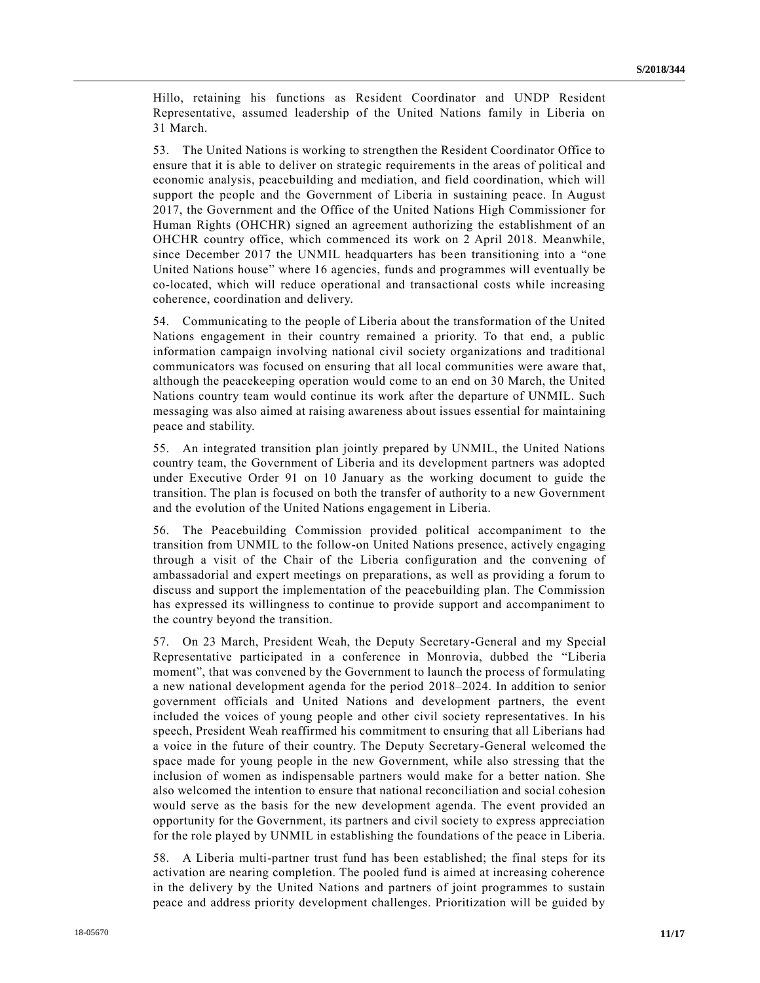Hillo, retaining his functions as Resident Coordinator and UNDP Resident Representative, assumed leadership of the United Nations family in Liberia on 31 March.

53. The United Nations is working to strengthen the Resident Coordinator Office to ensure that it is able to deliver on strategic requirements in the areas of political and economic analysis, peacebuilding and mediation, and field coordination, which will support the people and the Government of Liberia in sustaining peace. In August 2017, the Government and the Office of the United Nations High Commissioner for Human Rights (OHCHR) signed an agreement authorizing the establishment of an OHCHR country office, which commenced its work on 2 April 2018. Meanwhile, since December 2017 the UNMIL headquarters has been transitioning into a "one United Nations house" where 16 agencies, funds and programmes will eventually be co-located, which will reduce operational and transactional costs while increasing coherence, coordination and delivery.

54. Communicating to the people of Liberia about the transformation of the United Nations engagement in their country remained a priority. To that end, a public information campaign involving national civil society organizations and traditional communicators was focused on ensuring that all local communities were aware that, although the peacekeeping operation would come to an end on 30 March, the United Nations country team would continue its work after the departure of UNMIL. Such messaging was also aimed at raising awareness about issues essential for maintaining peace and stability.

55. An integrated transition plan jointly prepared by UNMIL, the United Nations country team, the Government of Liberia and its development partners was adopted under Executive Order 91 on 10 January as the working document to guide the transition. The plan is focused on both the transfer of authority to a new Government and the evolution of the United Nations engagement in Liberia.

56. The Peacebuilding Commission provided political accompaniment to the transition from UNMIL to the follow-on United Nations presence, actively engaging through a visit of the Chair of the Liberia configuration and the convening of ambassadorial and expert meetings on preparations, as well as providing a forum to discuss and support the implementation of the peacebuilding plan. The Commission has expressed its willingness to continue to provide support and accompaniment to the country beyond the transition.

57. On 23 March, President Weah, the Deputy Secretary-General and my Special Representative participated in a conference in Monrovia, dubbed the "Liberia moment", that was convened by the Government to launch the process of formulating a new national development agenda for the period 2018–2024. In addition to senior government officials and United Nations and development partners, the event included the voices of young people and other civil society representatives. In his speech, President Weah reaffirmed his commitment to ensuring that all Liberians had a voice in the future of their country. The Deputy Secretary-General welcomed the space made for young people in the new Government, while also stressing that the inclusion of women as indispensable partners would make for a better nation. She also welcomed the intention to ensure that national reconciliation and social cohesion would serve as the basis for the new development agenda. The event provided an opportunity for the Government, its partners and civil society to express appreciation for the role played by UNMIL in establishing the foundations of the peace in Liberia.

58. A Liberia multi-partner trust fund has been established; the final steps for its activation are nearing completion. The pooled fund is aimed at increasing coherence in the delivery by the United Nations and partners of joint programmes to sustain peace and address priority development challenges. Prioritization will be guided by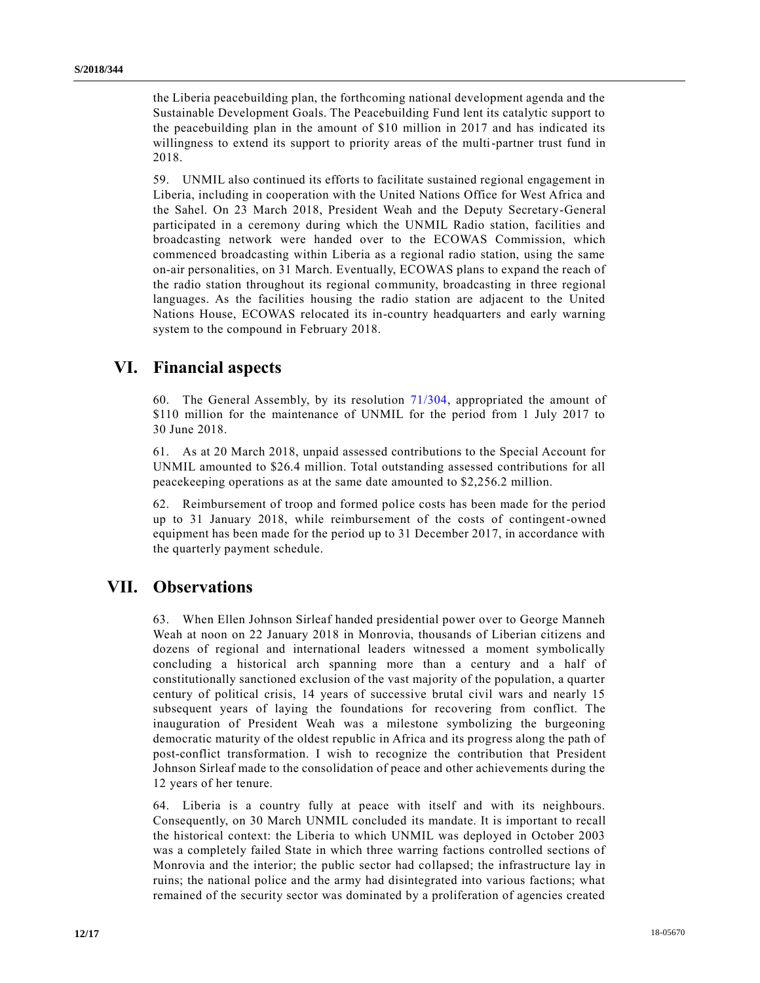the Liberia peacebuilding plan, the forthcoming national development agenda and the Sustainable Development Goals. The Peacebuilding Fund lent its catalytic support to the peacebuilding plan in the amount of \$10 million in 2017 and has indicated its willingness to extend its support to priority areas of the multi-partner trust fund in 2018.

59. UNMIL also continued its efforts to facilitate sustained regional engagement in Liberia, including in cooperation with the United Nations Office for West Africa and the Sahel. On 23 March 2018, President Weah and the Deputy Secretary-General participated in a ceremony during which the UNMIL Radio station, facilities and broadcasting network were handed over to the ECOWAS Commission, which commenced broadcasting within Liberia as a regional radio station, using the same on-air personalities, on 31 March. Eventually, ECOWAS plans to expand the reach of the radio station throughout its regional community, broadcasting in three regional languages. As the facilities housing the radio station are adjacent to the United Nations House, ECOWAS relocated its in-country headquarters and early warning system to the compound in February 2018.

# **VI. Financial aspects**

60. The General Assembly, by its resolution [71/304,](https://undocs.org/A/RES/71/304) appropriated the amount of \$110 million for the maintenance of UNMIL for the period from 1 July 2017 to 30 June 2018.

61. As at 20 March 2018, unpaid assessed contributions to the Special Account for UNMIL amounted to \$26.4 million. Total outstanding assessed contributions for all peacekeeping operations as at the same date amounted to \$2,256.2 million.

62. Reimbursement of troop and formed police costs has been made for the period up to 31 January 2018, while reimbursement of the costs of contingent-owned equipment has been made for the period up to 31 December 2017, in accordance with the quarterly payment schedule.

## **VII. Observations**

63. When Ellen Johnson Sirleaf handed presidential power over to George Manneh Weah at noon on 22 January 2018 in Monrovia, thousands of Liberian citizens and dozens of regional and international leaders witnessed a moment symbolically concluding a historical arch spanning more than a century and a half of constitutionally sanctioned exclusion of the vast majority of the population, a quarter century of political crisis, 14 years of successive brutal civil wars and nearly 15 subsequent years of laying the foundations for recovering from conflict. The inauguration of President Weah was a milestone symbolizing the burgeoning democratic maturity of the oldest republic in Africa and its progress along the path of post-conflict transformation. I wish to recognize the contribution that President Johnson Sirleaf made to the consolidation of peace and other achievements during the 12 years of her tenure.

64. Liberia is a country fully at peace with itself and with its neighbours. Consequently, on 30 March UNMIL concluded its mandate. It is important to recall the historical context: the Liberia to which UNMIL was deployed in October 2003 was a completely failed State in which three warring factions controlled sections of Monrovia and the interior; the public sector had collapsed; the infrastructure lay in ruins; the national police and the army had disintegrated into various factions; what remained of the security sector was dominated by a proliferation of agencies created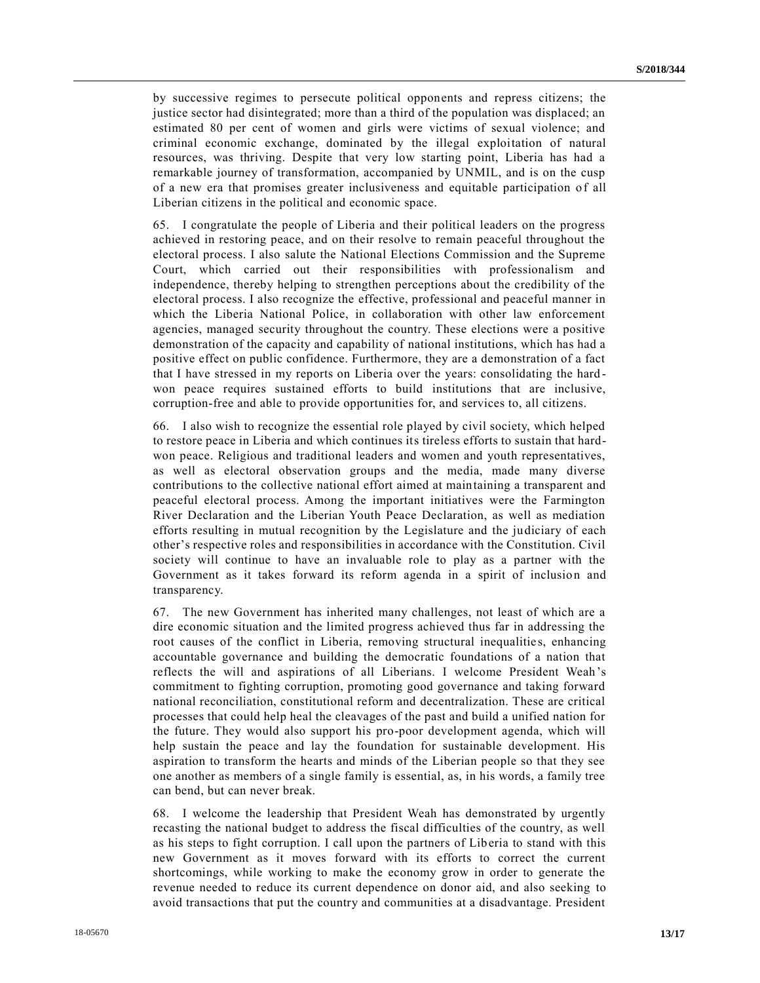by successive regimes to persecute political opponents and repress citizens; the justice sector had disintegrated; more than a third of the population was displaced; an estimated 80 per cent of women and girls were victims of sexual violence; and criminal economic exchange, dominated by the illegal exploitation of natural resources, was thriving. Despite that very low starting point, Liberia has had a remarkable journey of transformation, accompanied by UNMIL, and is on the cusp of a new era that promises greater inclusiveness and equitable participation o f all Liberian citizens in the political and economic space.

65. I congratulate the people of Liberia and their political leaders on the progress achieved in restoring peace, and on their resolve to remain peaceful throughout the electoral process. I also salute the National Elections Commission and the Supreme Court, which carried out their responsibilities with professionalism and independence, thereby helping to strengthen perceptions about the credibility of the electoral process. I also recognize the effective, professional and peaceful manner in which the Liberia National Police, in collaboration with other law enforcement agencies, managed security throughout the country. These elections were a positive demonstration of the capacity and capability of national institutions, which has had a positive effect on public confidence. Furthermore, they are a demonstration of a fact that I have stressed in my reports on Liberia over the years: consolidating the hard won peace requires sustained efforts to build institutions that are inclusive, corruption-free and able to provide opportunities for, and services to, all citizens.

66. I also wish to recognize the essential role played by civil society, which helped to restore peace in Liberia and which continues its tireless efforts to sustain that hardwon peace. Religious and traditional leaders and women and youth representatives, as well as electoral observation groups and the media, made many diverse contributions to the collective national effort aimed at maintaining a transparent and peaceful electoral process. Among the important initiatives were the Farmington River Declaration and the Liberian Youth Peace Declaration, as well as mediation efforts resulting in mutual recognition by the Legislature and the judiciary of each other's respective roles and responsibilities in accordance with the Constitution. Civil society will continue to have an invaluable role to play as a partner with the Government as it takes forward its reform agenda in a spirit of inclusion and transparency.

67. The new Government has inherited many challenges, not least of which are a dire economic situation and the limited progress achieved thus far in addressing the root causes of the conflict in Liberia, removing structural inequalities, enhancing accountable governance and building the democratic foundations of a nation that reflects the will and aspirations of all Liberians. I welcome President Weah's commitment to fighting corruption, promoting good governance and taking forward national reconciliation, constitutional reform and decentralization. These are critical processes that could help heal the cleavages of the past and build a unified nation for the future. They would also support his pro-poor development agenda, which will help sustain the peace and lay the foundation for sustainable development. His aspiration to transform the hearts and minds of the Liberian people so that they see one another as members of a single family is essential, as, in his words, a family tree can bend, but can never break.

68. I welcome the leadership that President Weah has demonstrated by urgently recasting the national budget to address the fiscal difficulties of the country, as well as his steps to fight corruption. I call upon the partners of Liberia to stand with this new Government as it moves forward with its efforts to correct the current shortcomings, while working to make the economy grow in order to generate the revenue needed to reduce its current dependence on donor aid, and also seeking to avoid transactions that put the country and communities at a disadvantage. President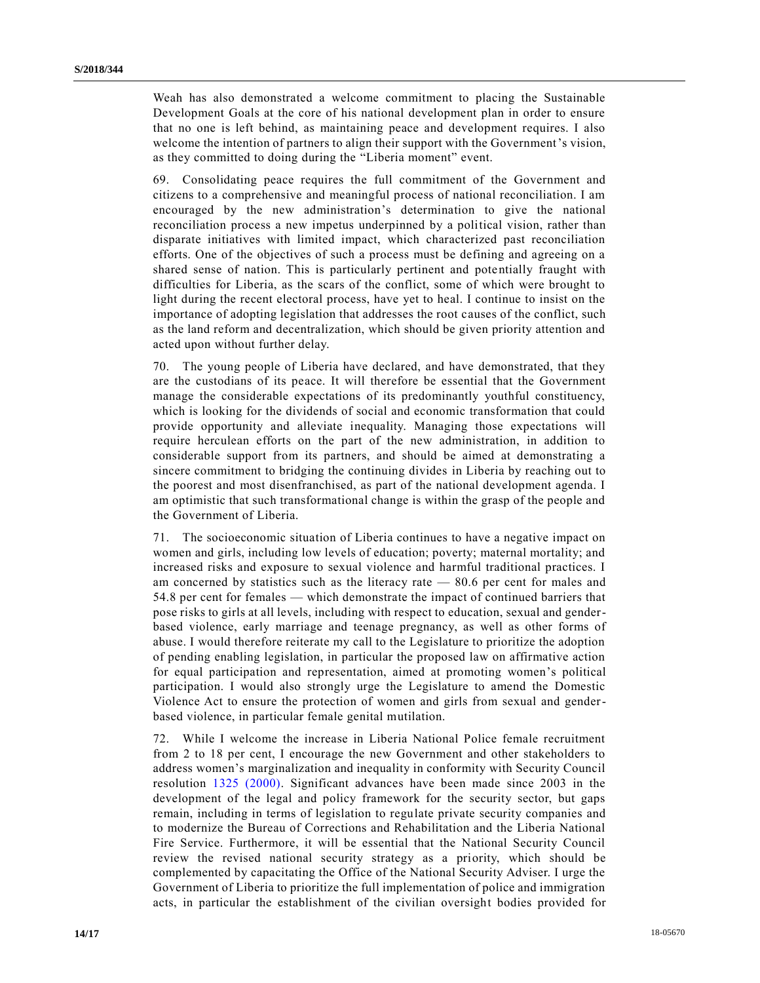Weah has also demonstrated a welcome commitment to placing the Sustainable Development Goals at the core of his national development plan in order to ensure that no one is left behind, as maintaining peace and development requires. I also welcome the intention of partners to align their support with the Government's vision, as they committed to doing during the "Liberia moment" event.

69. Consolidating peace requires the full commitment of the Government and citizens to a comprehensive and meaningful process of national reconciliation. I am encouraged by the new administration's determination to give the national reconciliation process a new impetus underpinned by a political vision, rather than disparate initiatives with limited impact, which characterized past reconciliation efforts. One of the objectives of such a process must be defining and agreeing on a shared sense of nation. This is particularly pertinent and potentially fraught with difficulties for Liberia, as the scars of the conflict, some of which were brought to light during the recent electoral process, have yet to heal. I continue to insist on the importance of adopting legislation that addresses the root causes of the conflict, such as the land reform and decentralization, which should be given priority attention and acted upon without further delay.

70. The young people of Liberia have declared, and have demonstrated, that they are the custodians of its peace. It will therefore be essential that the Government manage the considerable expectations of its predominantly youthful constituency, which is looking for the dividends of social and economic transformation that could provide opportunity and alleviate inequality. Managing those expectations will require herculean efforts on the part of the new administration, in addition to considerable support from its partners, and should be aimed at demonstrating a sincere commitment to bridging the continuing divides in Liberia by reaching out to the poorest and most disenfranchised, as part of the national development agenda. I am optimistic that such transformational change is within the grasp of the people and the Government of Liberia.

71. The socioeconomic situation of Liberia continues to have a negative impact on women and girls, including low levels of education; poverty; maternal mortality; and increased risks and exposure to sexual violence and harmful traditional practices. I am concerned by statistics such as the literacy rate  $-80.6$  per cent for males and 54.8 per cent for females — which demonstrate the impact of continued barriers that pose risks to girls at all levels, including with respect to education, sexual and genderbased violence, early marriage and teenage pregnancy, as well as other forms of abuse. I would therefore reiterate my call to the Legislature to prioritize the adoption of pending enabling legislation, in particular the proposed law on affirmative action for equal participation and representation, aimed at promoting women's political participation. I would also strongly urge the Legislature to amend the Domestic Violence Act to ensure the protection of women and girls from sexual and genderbased violence, in particular female genital mutilation.

72. While I welcome the increase in Liberia National Police female recruitment from 2 to 18 per cent, I encourage the new Government and other stakeholders to address women's marginalization and inequality in conformity with Security Council resolution [1325 \(2000\).](https://undocs.org/S/RES/1325(2000)) Significant advances have been made since 2003 in the development of the legal and policy framework for the security sector, but gaps remain, including in terms of legislation to regulate private security companies and to modernize the Bureau of Corrections and Rehabilitation and the Liberia National Fire Service. Furthermore, it will be essential that the National Security Council review the revised national security strategy as a priority, which should be complemented by capacitating the Office of the National Security Adviser. I urge the Government of Liberia to prioritize the full implementation of police and immigration acts, in particular the establishment of the civilian oversight bodies provided for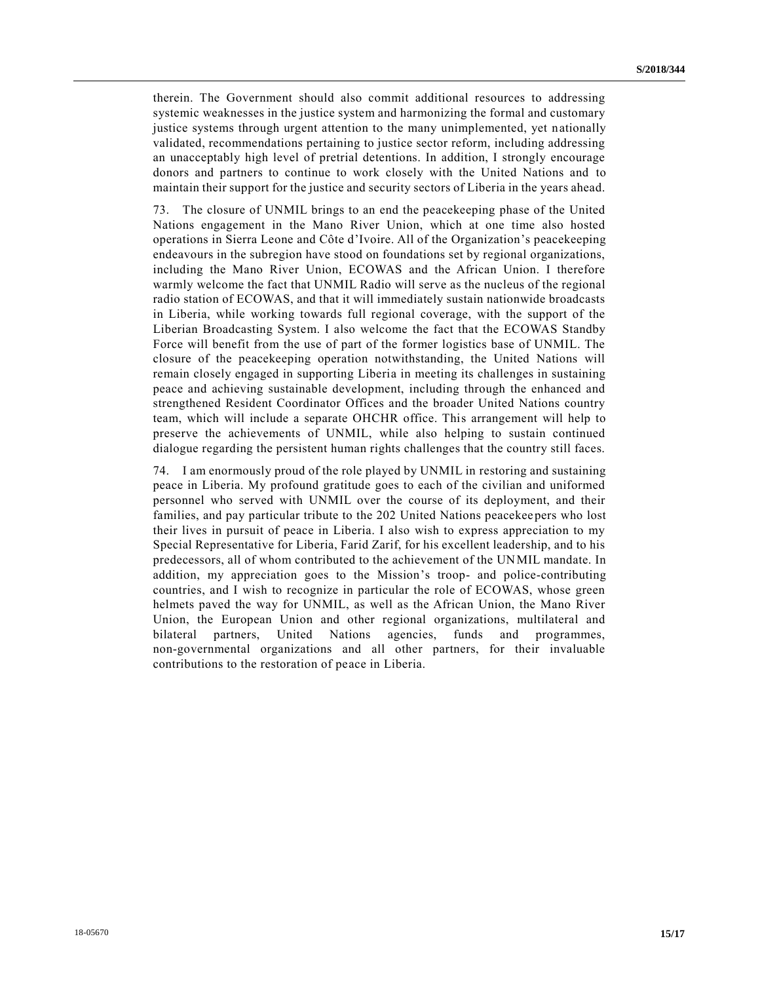therein. The Government should also commit additional resources to addressing systemic weaknesses in the justice system and harmonizing the formal and customary justice systems through urgent attention to the many unimplemented, yet nationally validated, recommendations pertaining to justice sector reform, including addressing an unacceptably high level of pretrial detentions. In addition, I strongly encourage donors and partners to continue to work closely with the United Nations and to maintain their support for the justice and security sectors of Liberia in the years ahead.

73. The closure of UNMIL brings to an end the peacekeeping phase of the United Nations engagement in the Mano River Union, which at one time also hosted operations in Sierra Leone and Côte d'Ivoire. All of the Organization's peacekeeping endeavours in the subregion have stood on foundations set by regional organizations, including the Mano River Union, ECOWAS and the African Union. I therefore warmly welcome the fact that UNMIL Radio will serve as the nucleus of the regional radio station of ECOWAS, and that it will immediately sustain nationwide broadcasts in Liberia, while working towards full regional coverage, with the support of the Liberian Broadcasting System. I also welcome the fact that the ECOWAS Standby Force will benefit from the use of part of the former logistics base of UNMIL. The closure of the peacekeeping operation notwithstanding, the United Nations will remain closely engaged in supporting Liberia in meeting its challenges in sustaining peace and achieving sustainable development, including through the enhanced and strengthened Resident Coordinator Offices and the broader United Nations country team, which will include a separate OHCHR office. This arrangement will help to preserve the achievements of UNMIL, while also helping to sustain continued dialogue regarding the persistent human rights challenges that the country still faces.

74. I am enormously proud of the role played by UNMIL in restoring and sustaining peace in Liberia. My profound gratitude goes to each of the civilian and uniformed personnel who served with UNMIL over the course of its deployment, and their families, and pay particular tribute to the 202 United Nations peacekeepers who lost their lives in pursuit of peace in Liberia. I also wish to express appreciation to my Special Representative for Liberia, Farid Zarif, for his excellent leadership, and to his predecessors, all of whom contributed to the achievement of the UNMIL mandate. In addition, my appreciation goes to the Mission's troop- and police-contributing countries, and I wish to recognize in particular the role of ECOWAS, whose green helmets paved the way for UNMIL, as well as the African Union, the Mano River Union, the European Union and other regional organizations, multilateral and bilateral partners, United Nations agencies, funds and programmes, non-governmental organizations and all other partners, for their invaluable contributions to the restoration of peace in Liberia.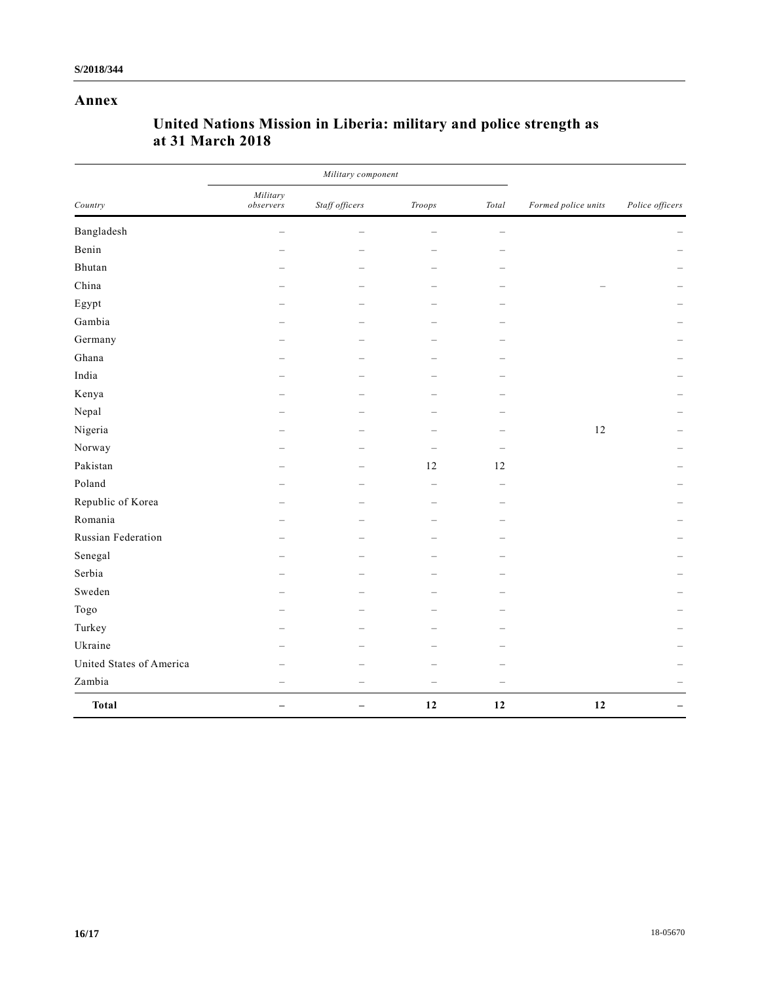## **Annex**

|                          | Military component       |                          |                          |                          |                     |                 |
|--------------------------|--------------------------|--------------------------|--------------------------|--------------------------|---------------------|-----------------|
| Country                  | Military<br>observers    | Staff officers           | Troops                   | Total                    | Formed police units | Police officers |
| Bangladesh               | $\equiv$                 | $\equiv$                 | $\overline{\phantom{a}}$ | $\equiv$                 |                     |                 |
| Benin                    |                          |                          |                          |                          |                     |                 |
| Bhutan                   |                          |                          |                          |                          |                     |                 |
| China                    |                          |                          |                          |                          |                     |                 |
| Egypt                    |                          |                          |                          |                          |                     |                 |
| Gambia                   |                          |                          |                          |                          |                     |                 |
| Germany                  |                          | $\equiv$                 |                          |                          |                     |                 |
| Ghana                    |                          | $\qquad \qquad$          |                          |                          |                     |                 |
| India                    |                          |                          |                          |                          |                     |                 |
| Kenya                    |                          |                          |                          |                          |                     |                 |
| Nepal                    |                          |                          |                          |                          |                     |                 |
| Nigeria                  |                          |                          |                          |                          | 12                  |                 |
| Norway                   |                          |                          |                          |                          |                     |                 |
| Pakistan                 |                          | $\equiv$                 | 12                       | $12\,$                   |                     |                 |
| Poland                   |                          |                          | $\overline{\phantom{0}}$ | $\overline{\phantom{a}}$ |                     |                 |
| Republic of Korea        |                          |                          |                          |                          |                     |                 |
| Romania                  |                          |                          |                          |                          |                     |                 |
| Russian Federation       |                          |                          |                          |                          |                     |                 |
| Senegal                  |                          |                          |                          |                          |                     |                 |
| Serbia                   |                          |                          |                          |                          |                     |                 |
| Sweden                   |                          |                          |                          |                          |                     |                 |
| Togo                     |                          |                          |                          |                          |                     |                 |
| Turkey                   |                          |                          |                          |                          |                     |                 |
| Ukraine                  |                          |                          |                          |                          |                     |                 |
| United States of America |                          |                          |                          |                          |                     |                 |
| Zambia                   |                          | $\overline{\phantom{0}}$ | $\overline{\phantom{0}}$ | $\qquad \qquad -$        |                     |                 |
| <b>Total</b>             | $\overline{\phantom{0}}$ |                          | 12                       | 12                       | 12                  |                 |

## **United Nations Mission in Liberia: military and police strength as at 31 March 2018**